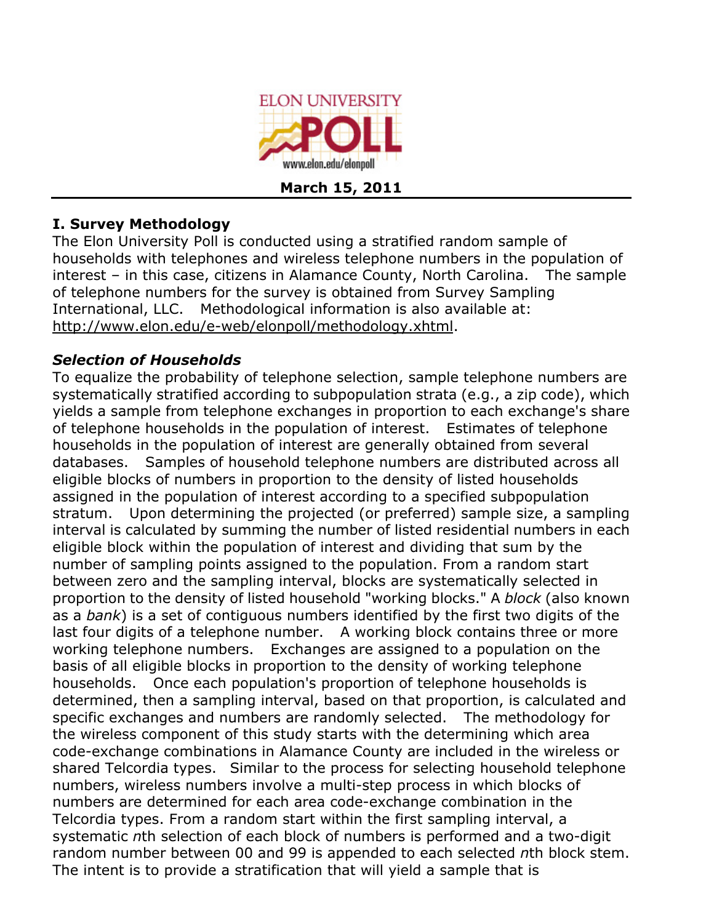

## **I. Survey Methodology**

The Elon University Poll is conducted using a stratified random sample of households with telephones and wireless telephone numbers in the population of interest – in this case, citizens in Alamance County, North Carolina. The sample of telephone numbers for the survey is obtained from Survey Sampling International, LLC. Methodological information is also available at: http://www.elon.edu/e-web/elonpoll/methodology.xhtml.

## *Selection of Households*

To equalize the probability of telephone selection, sample telephone numbers are systematically stratified according to subpopulation strata (e.g., a zip code), which yields a sample from telephone exchanges in proportion to each exchange's share of telephone households in the population of interest. Estimates of telephone households in the population of interest are generally obtained from several databases. Samples of household telephone numbers are distributed across all eligible blocks of numbers in proportion to the density of listed households assigned in the population of interest according to a specified subpopulation stratum. Upon determining the projected (or preferred) sample size, a sampling interval is calculated by summing the number of listed residential numbers in each eligible block within the population of interest and dividing that sum by the number of sampling points assigned to the population. From a random start between zero and the sampling interval, blocks are systematically selected in proportion to the density of listed household "working blocks." A *block* (also known as a *bank*) is a set of contiguous numbers identified by the first two digits of the last four digits of a telephone number. A working block contains three or more working telephone numbers. Exchanges are assigned to a population on the basis of all eligible blocks in proportion to the density of working telephone households. Once each population's proportion of telephone households is determined, then a sampling interval, based on that proportion, is calculated and specific exchanges and numbers are randomly selected. The methodology for the wireless component of this study starts with the determining which area code-exchange combinations in Alamance County are included in the wireless or shared Telcordia types. Similar to the process for selecting household telephone numbers, wireless numbers involve a multi-step process in which blocks of numbers are determined for each area code-exchange combination in the Telcordia types. From a random start within the first sampling interval, a systematic *n*th selection of each block of numbers is performed and a two-digit random number between 00 and 99 is appended to each selected *n*th block stem. The intent is to provide a stratification that will yield a sample that is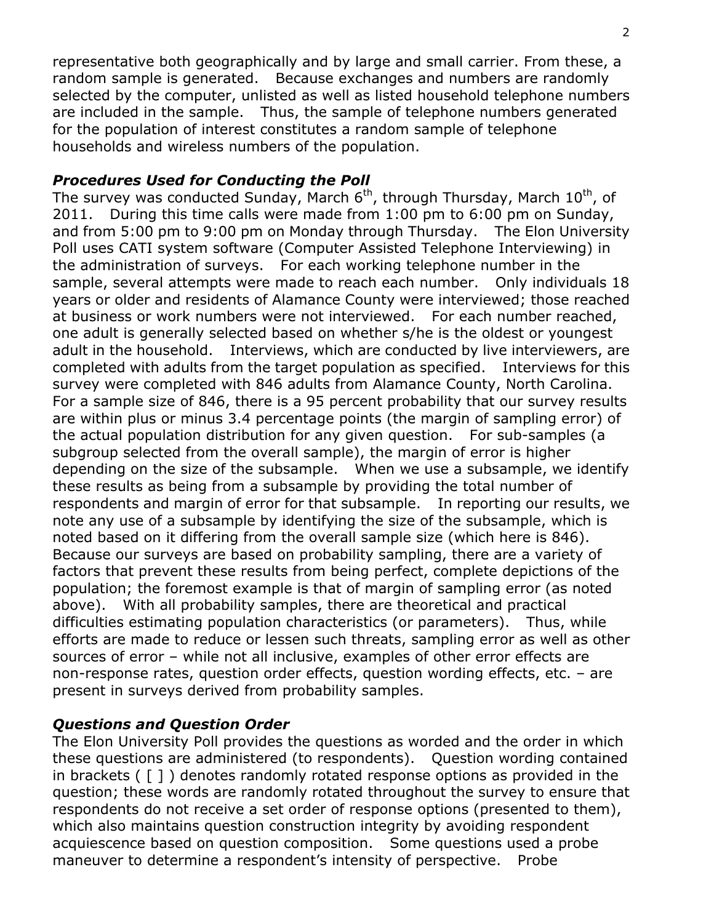representative both geographically and by large and small carrier. From these, a random sample is generated. Because exchanges and numbers are randomly selected by the computer, unlisted as well as listed household telephone numbers are included in the sample. Thus, the sample of telephone numbers generated for the population of interest constitutes a random sample of telephone households and wireless numbers of the population.

#### *Procedures Used for Conducting the Poll*

The survey was conducted Sunday, March  $6<sup>th</sup>$ , through Thursday, March  $10<sup>th</sup>$ , of 2011. During this time calls were made from 1:00 pm to 6:00 pm on Sunday, and from 5:00 pm to 9:00 pm on Monday through Thursday. The Elon University Poll uses CATI system software (Computer Assisted Telephone Interviewing) in the administration of surveys. For each working telephone number in the sample, several attempts were made to reach each number. Only individuals 18 years or older and residents of Alamance County were interviewed; those reached at business or work numbers were not interviewed. For each number reached, one adult is generally selected based on whether s/he is the oldest or youngest adult in the household. Interviews, which are conducted by live interviewers, are completed with adults from the target population as specified. Interviews for this survey were completed with 846 adults from Alamance County, North Carolina. For a sample size of 846, there is a 95 percent probability that our survey results are within plus or minus 3.4 percentage points (the margin of sampling error) of the actual population distribution for any given question. For sub-samples (a subgroup selected from the overall sample), the margin of error is higher depending on the size of the subsample. When we use a subsample, we identify these results as being from a subsample by providing the total number of respondents and margin of error for that subsample. In reporting our results, we note any use of a subsample by identifying the size of the subsample, which is noted based on it differing from the overall sample size (which here is 846). Because our surveys are based on probability sampling, there are a variety of factors that prevent these results from being perfect, complete depictions of the population; the foremost example is that of margin of sampling error (as noted above). With all probability samples, there are theoretical and practical difficulties estimating population characteristics (or parameters). Thus, while efforts are made to reduce or lessen such threats, sampling error as well as other sources of error – while not all inclusive, examples of other error effects are non-response rates, question order effects, question wording effects, etc. – are present in surveys derived from probability samples.

### *Questions and Question Order*

The Elon University Poll provides the questions as worded and the order in which these questions are administered (to respondents). Question wording contained in brackets ( [ ] ) denotes randomly rotated response options as provided in the question; these words are randomly rotated throughout the survey to ensure that respondents do not receive a set order of response options (presented to them), which also maintains question construction integrity by avoiding respondent acquiescence based on question composition. Some questions used a probe maneuver to determine a respondent's intensity of perspective. Probe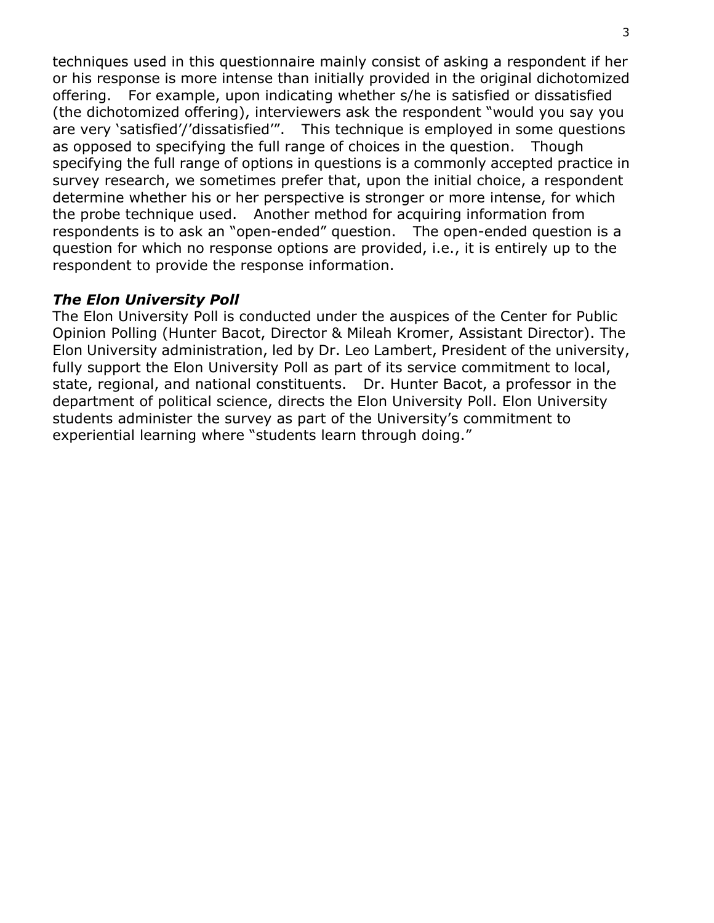techniques used in this questionnaire mainly consist of asking a respondent if her or his response is more intense than initially provided in the original dichotomized offering. For example, upon indicating whether s/he is satisfied or dissatisfied (the dichotomized offering), interviewers ask the respondent "would you say you are very 'satisfied'/'dissatisfied'". This technique is employed in some questions as opposed to specifying the full range of choices in the question. Though specifying the full range of options in questions is a commonly accepted practice in survey research, we sometimes prefer that, upon the initial choice, a respondent determine whether his or her perspective is stronger or more intense, for which the probe technique used. Another method for acquiring information from respondents is to ask an "open-ended" question. The open-ended question is a question for which no response options are provided, i.e., it is entirely up to the respondent to provide the response information.

#### *The Elon University Poll*

The Elon University Poll is conducted under the auspices of the Center for Public Opinion Polling (Hunter Bacot, Director & Mileah Kromer, Assistant Director). The Elon University administration, led by Dr. Leo Lambert, President of the university, fully support the Elon University Poll as part of its service commitment to local, state, regional, and national constituents. Dr. Hunter Bacot, a professor in the department of political science, directs the Elon University Poll. Elon University students administer the survey as part of the University's commitment to experiential learning where "students learn through doing."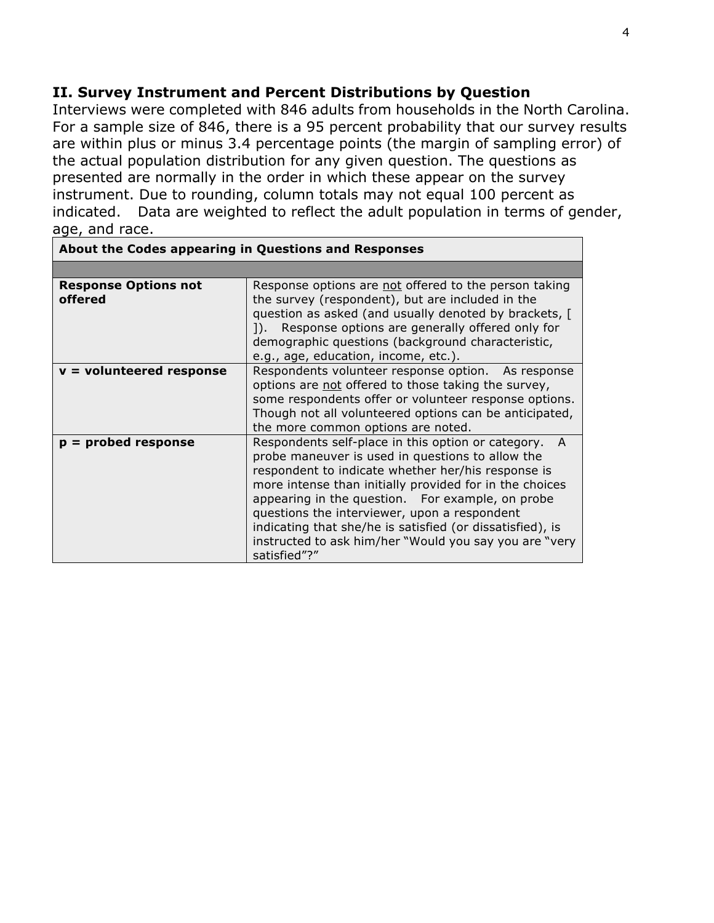#### **II. Survey Instrument and Percent Distributions by Question**

Interviews were completed with 846 adults from households in the North Carolina. For a sample size of 846, there is a 95 percent probability that our survey results are within plus or minus 3.4 percentage points (the margin of sampling error) of the actual population distribution for any given question. The questions as presented are normally in the order in which these appear on the survey instrument. Due to rounding, column totals may not equal 100 percent as indicated. Data are weighted to reflect the adult population in terms of gender, age, and race.

| About the Codes appearing in Questions and Responses |                                                                                                                                                                                                                                                                                                                                                                                                                                                                         |  |  |  |
|------------------------------------------------------|-------------------------------------------------------------------------------------------------------------------------------------------------------------------------------------------------------------------------------------------------------------------------------------------------------------------------------------------------------------------------------------------------------------------------------------------------------------------------|--|--|--|
|                                                      |                                                                                                                                                                                                                                                                                                                                                                                                                                                                         |  |  |  |
| <b>Response Options not</b><br>offered               | Response options are not offered to the person taking<br>the survey (respondent), but are included in the<br>question as asked (and usually denoted by brackets, [<br>Response options are generally offered only for<br>$\mathsf{D}$ .<br>demographic questions (background characteristic,<br>e.g., age, education, income, etc.).                                                                                                                                    |  |  |  |
| $v =$ volunteered response                           | Respondents volunteer response option. As response<br>options are not offered to those taking the survey,<br>some respondents offer or volunteer response options.<br>Though not all volunteered options can be anticipated,<br>the more common options are noted.                                                                                                                                                                                                      |  |  |  |
| $p =$ probed response                                | Respondents self-place in this option or category.<br>A<br>probe maneuver is used in questions to allow the<br>respondent to indicate whether her/his response is<br>more intense than initially provided for in the choices<br>appearing in the question. For example, on probe<br>questions the interviewer, upon a respondent<br>indicating that she/he is satisfied (or dissatisfied), is<br>instructed to ask him/her "Would you say you are "very<br>satisfied"?" |  |  |  |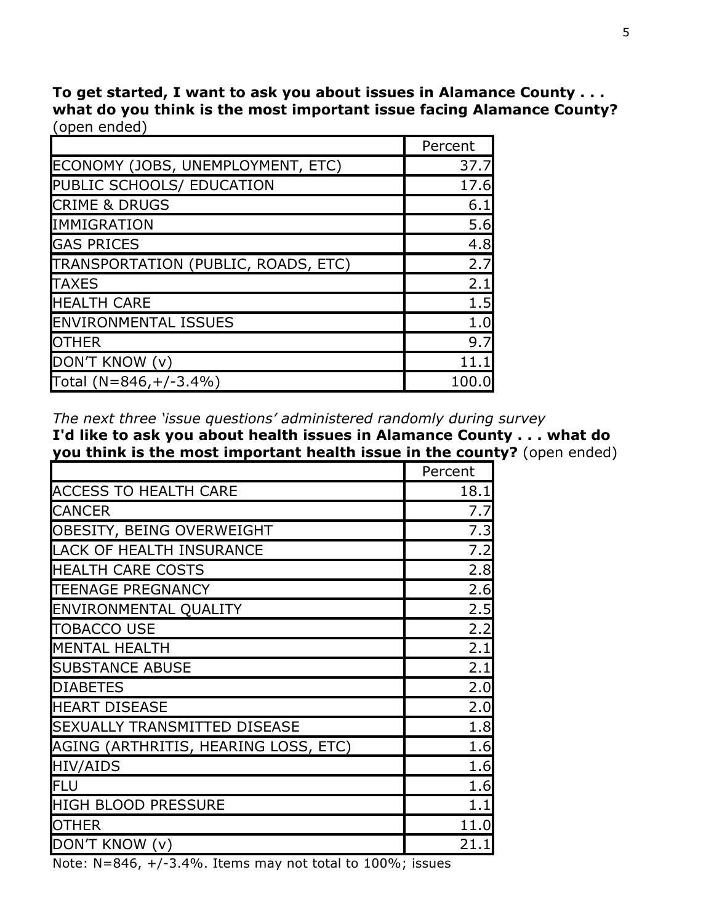**To get started, I want to ask you about issues in Alamance County . . . what do you think is the most important issue facing Alamance County?** (open ended)

|                                     | Percent |
|-------------------------------------|---------|
| ECONOMY (JOBS, UNEMPLOYMENT, ETC)   | 37.7    |
| PUBLIC SCHOOLS/ EDUCATION           | 17.6    |
| <b>CRIME &amp; DRUGS</b>            | 6.1     |
| <b>IMMIGRATION</b>                  | 5.6     |
| <b>GAS PRICES</b>                   | 4.8     |
| TRANSPORTATION (PUBLIC, ROADS, ETC) | 2.7     |
| <b>TAXES</b>                        | 2.1     |
| <b>HEALTH CARE</b>                  | 1.5     |
| <b>ENVIRONMENTAL ISSUES</b>         | 1.0     |
| <b>OTHER</b>                        | 9.7     |
| DON'T KNOW (v)                      | 11.1    |
| Total $(N=846,+/-3.4%)$             | 100.0   |

*The next three 'issue questions' administered randomly during survey*

**I'd like to ask you about health issues in Alamance County . . . what do you think is the most important health issue in the county?** (open ended)

|                                      | Percent |
|--------------------------------------|---------|
| <b>ACCESS TO HEALTH CARE</b>         | 18.1    |
| <b>CANCER</b>                        | 7.7     |
| OBESITY, BEING OVERWEIGHT            | 7.3     |
| <b>LACK OF HEALTH INSURANCE</b>      | 7.2     |
| <b>HEALTH CARE COSTS</b>             | 2.8     |
| <b>TEENAGE PREGNANCY</b>             | 2.6     |
| <b>ENVIRONMENTAL QUALITY</b>         | 2.5     |
| <b>TOBACCO USE</b>                   | 2.2     |
| <b>MENTAL HEALTH</b>                 | 2.1     |
| <b>SUBSTANCE ABUSE</b>               | 2.1     |
| <b>DIABETES</b>                      | 2.0     |
| <b>HEART DISEASE</b>                 | 2.0     |
| <b>SEXUALLY TRANSMITTED DISEASE</b>  | 1.8     |
| AGING (ARTHRITIS, HEARING LOSS, ETC) | 1.6     |
| <b>HIV/AIDS</b>                      | 1.6     |
| lflu                                 | 1.6     |
| <b>HIGH BLOOD PRESSURE</b>           | 1.1     |
| <b>OTHER</b>                         | 11.0    |
| DON'T KNOW (v)                       | 21.1    |

Note:  $N=846$ ,  $+/-3.4\%$ . Items may not total to 100%; issues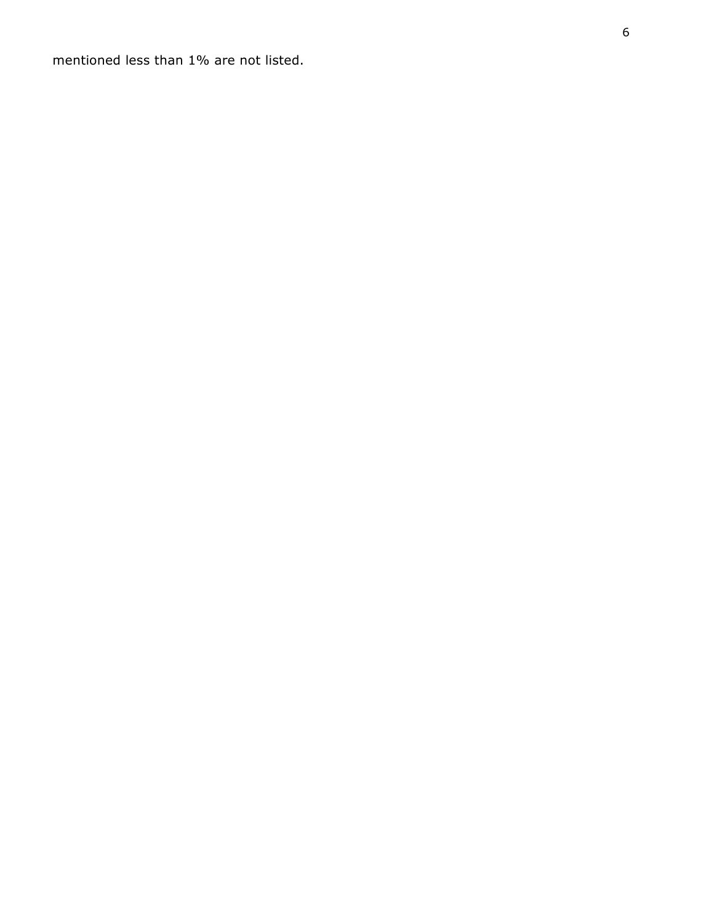mentioned less than 1% are not listed.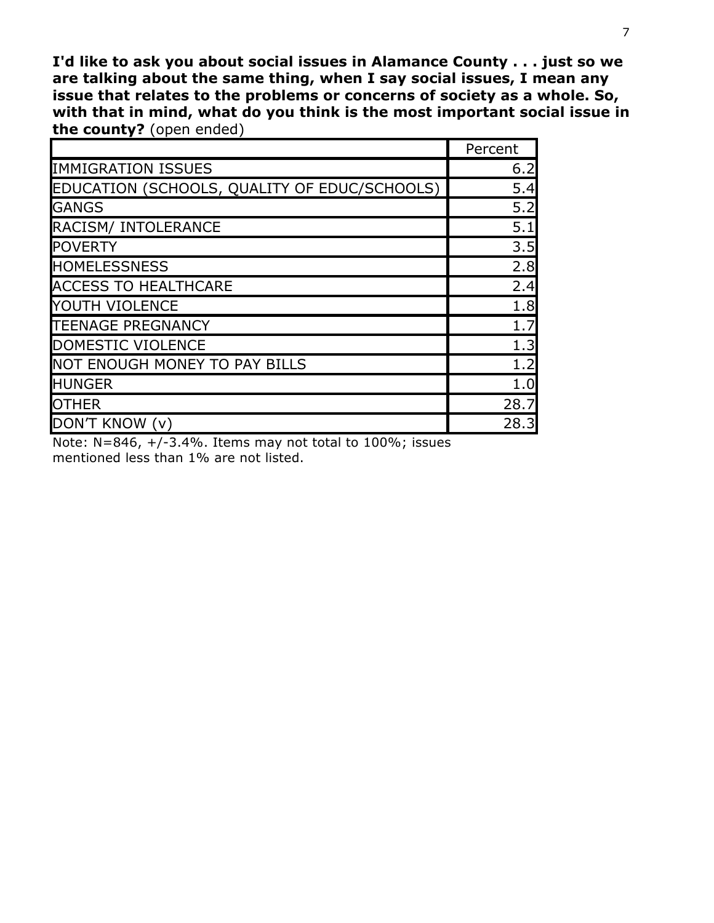**I'd like to ask you about social issues in Alamance County . . . just so we are talking about the same thing, when I say social issues, I mean any issue that relates to the problems or concerns of society as a whole. So, with that in mind, what do you think is the most important social issue in the county?** (open ended)

|                                              | Percent |
|----------------------------------------------|---------|
| <b>IMMIGRATION ISSUES</b>                    | 6.2     |
| EDUCATION (SCHOOLS, QUALITY OF EDUC/SCHOOLS) | 5.4     |
| <b>GANGS</b>                                 | 5.2     |
| RACISM/ INTOLERANCE                          | 5.1     |
| <b>POVERTY</b>                               | 3.5     |
| <b>HOMELESSNESS</b>                          | 2.8     |
| <b>ACCESS TO HEALTHCARE</b>                  | 2.4     |
| <b>YOUTH VIOLENCE</b>                        | 1.8     |
| <b>TEENAGE PREGNANCY</b>                     | 1.7     |
| DOMESTIC VIOLENCE                            | 1.3     |
| <b>NOT ENOUGH MONEY TO PAY BILLS</b>         | 1.2     |
| <b>HUNGER</b>                                | 1.0     |
| <b>OTHER</b>                                 | 28.7    |
| DON'T KNOW (v)                               | 28.3    |

Note: N=846, +/-3.4%. Items may not total to 100%; issues mentioned less than 1% are not listed.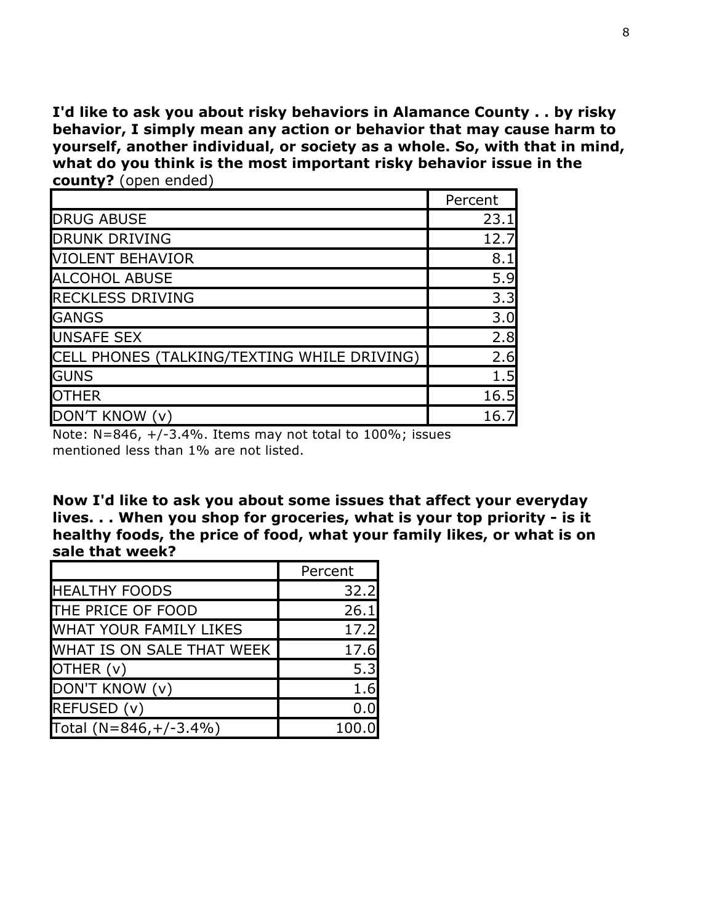**I'd like to ask you about risky behaviors in Alamance County . . by risky behavior, I simply mean any action or behavior that may cause harm to yourself, another individual, or society as a whole. So, with that in mind, what do you think is the most important risky behavior issue in the county?** (open ended)

|                                             | Percent |
|---------------------------------------------|---------|
| <b>DRUG ABUSE</b>                           | 23.1    |
| <b>DRUNK DRIVING</b>                        | 12.7    |
| <b>VIOLENT BEHAVIOR</b>                     | 8.1     |
| <b>ALCOHOL ABUSE</b>                        | 5.9     |
| <b>RECKLESS DRIVING</b>                     | 3.3     |
| <b>GANGS</b>                                | 3.0     |
| <b>UNSAFE SEX</b>                           | 2.8     |
| CELL PHONES (TALKING/TEXTING WHILE DRIVING) | 2.6     |
| <b>GUNS</b>                                 | 1.5     |
| <b>OTHER</b>                                | 16.5    |
| DON'T KNOW (v)                              | 16.7    |

Note:  $N=846$ ,  $+/-3.4%$ . Items may not total to  $100\%$ ; issues mentioned less than 1% are not listed.

**Now I'd like to ask you about some issues that affect your everyday lives. . . When you shop for groceries, what is your top priority - is it healthy foods, the price of food, what your family likes, or what is on sale that week?**

|                               | Percent |
|-------------------------------|---------|
| <b>HEALTHY FOODS</b>          | 32.2    |
| THE PRICE OF FOOD             | 26.1    |
| <b>WHAT YOUR FAMILY LIKES</b> | 17.2    |
| WHAT IS ON SALE THAT WEEK     | 17.6    |
| OTHER (v)                     | 5.3     |
| DON'T KNOW (v)                | 1.6     |
| REFUSED (v)                   |         |
| Total $(N=846,+/-3.4%)$       | 100.    |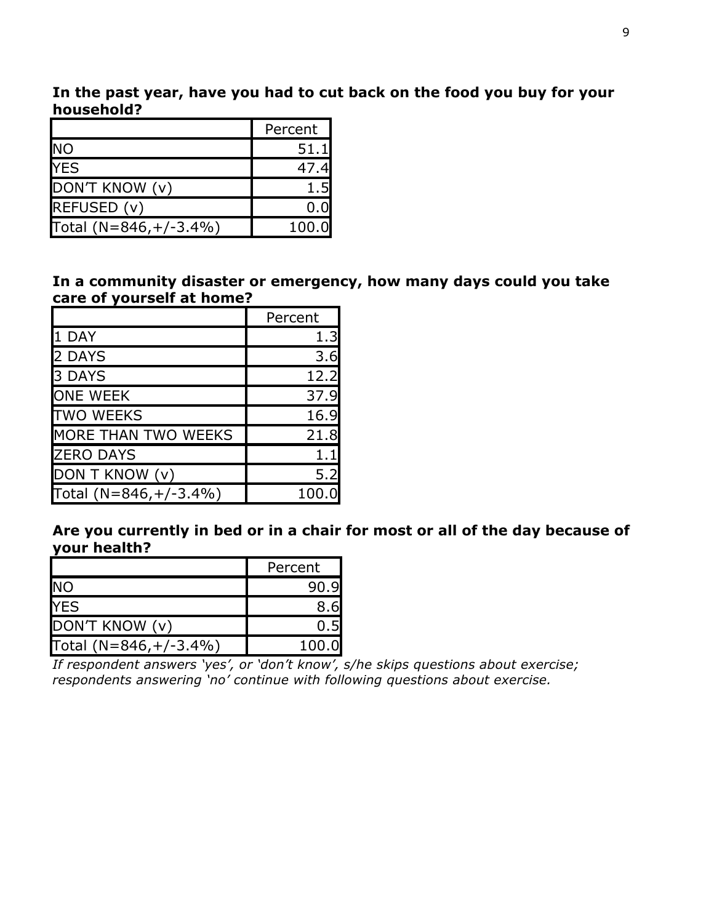**In the past year, have you had to cut back on the food you buy for your household?** 

|                         | Percent |
|-------------------------|---------|
| <b>NO</b>               | 51.1    |
| <b>YES</b>              | 47.4    |
| DON'T KNOW (v)          | 1.5     |
| REFUSED (v)             | 0.0     |
| Total $(N=846,+/-3.4%)$ | 100.0   |

**In a community disaster or emergency, how many days could you take care of yourself at home?**

|                            | Percent |
|----------------------------|---------|
| 1 DAY                      | 1.3     |
| 2 DAYS                     | 3.6     |
| 3 DAYS                     | 12.2    |
| <b>ONE WEEK</b>            | 37.9    |
| <b>TWO WEEKS</b>           | 16.9    |
| <b>MORE THAN TWO WEEKS</b> | 21.8    |
| <b>ZERO DAYS</b>           | 1.1     |
| DON T KNOW (v)             | 5.2     |
| Total $(N=846,+/-3.4%)$    | 100.0   |

**Are you currently in bed or in a chair for most or all of the day because of your health?** 

|                        | Percent |
|------------------------|---------|
| <b>NO</b>              | 90.9    |
| <b>YES</b>             |         |
| DON'T KNOW (v)         |         |
| Total (N=846, +/-3.4%) | 100.0   |

*If respondent answers 'yes', or 'don't know', s/he skips questions about exercise; respondents answering 'no' continue with following questions about exercise.*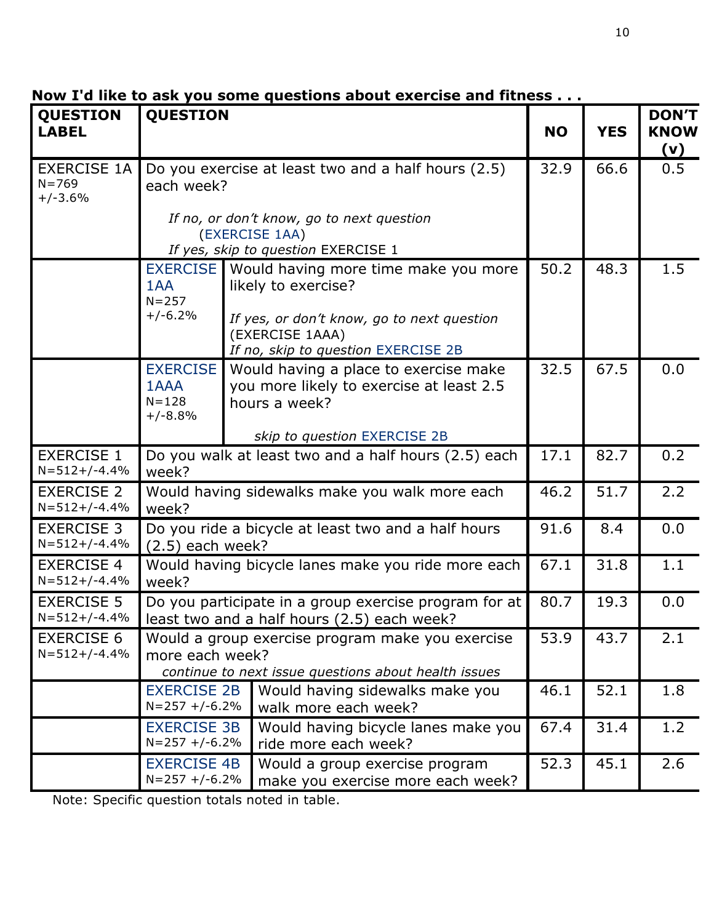| <b>QUESTION</b><br><b>LABEL</b>              | <b>QUESTION</b>                                                                                                             |                                                                                                                                                                     | <b>NO</b> | <b>YES</b> | <b>DON'T</b><br><b>KNOW</b><br>(v) |
|----------------------------------------------|-----------------------------------------------------------------------------------------------------------------------------|---------------------------------------------------------------------------------------------------------------------------------------------------------------------|-----------|------------|------------------------------------|
| <b>EXERCISE 1A</b><br>$N = 769$<br>$+/-3.6%$ | each week?                                                                                                                  | Do you exercise at least two and a half hours (2.5)                                                                                                                 | 32.9      | 66.6       | 0.5                                |
|                                              |                                                                                                                             | If no, or don't know, go to next question<br>(EXERCISE 1AA)<br>If yes, skip to question EXERCISE 1                                                                  |           |            |                                    |
|                                              | <b>EXERCISE</b><br>1AA<br>$N = 257$<br>$+/-6.2%$                                                                            | Would having more time make you more<br>likely to exercise?<br>If yes, or don't know, go to next question<br>(EXERCISE 1AAA)<br>If no, skip to question EXERCISE 2B | 50.2      | 48.3       | 1.5                                |
|                                              | <b>EXERCISE</b><br>1AAA<br>$N = 128$<br>$+/-8.8%$                                                                           | Would having a place to exercise make<br>you more likely to exercise at least 2.5<br>hours a week?<br>skip to question EXERCISE 2B                                  | 32.5      | 67.5       | 0.0                                |
| <b>EXERCISE 1</b><br>$N = 512 + (-4.4%$      | Do you walk at least two and a half hours (2.5) each<br>week?                                                               |                                                                                                                                                                     |           | 82.7       | 0.2                                |
| <b>EXERCISE 2</b><br>$N = 512 + (-4.4%$      | Would having sidewalks make you walk more each<br>week?                                                                     |                                                                                                                                                                     |           | 51.7       | 2.2                                |
| <b>EXERCISE 3</b><br>$N = 512 + (-4.4%$      | Do you ride a bicycle at least two and a half hours<br>$(2.5)$ each week?                                                   |                                                                                                                                                                     |           | 8.4        | 0.0                                |
| <b>EXERCISE 4</b><br>$N = 512 + (-4.4%$      | Would having bicycle lanes make you ride more each<br>week?                                                                 |                                                                                                                                                                     |           | 31.8       | 1.1                                |
| <b>EXERCISE 5</b><br>$N = 512 + (-4.4%$      | Do you participate in a group exercise program for at<br>least two and a half hours (2.5) each week?                        |                                                                                                                                                                     |           | 19.3       | 0.0                                |
| <b>EXERCISE 6</b><br>$N = 512 + (-4.4%$      | Would a group exercise program make you exercise<br>more each week?<br>continue to next issue questions about health issues |                                                                                                                                                                     | 53.9      | 43.7       | 2.1                                |
|                                              | <b>EXERCISE 2B</b><br>$N = 257 + (-6.2\%)$                                                                                  | Would having sidewalks make you<br>walk more each week?                                                                                                             | 46.1      | 52.1       | 1.8                                |
|                                              | <b>EXERCISE 3B</b><br>$N = 257 + (-6.2\%)$                                                                                  | Would having bicycle lanes make you<br>ride more each week?                                                                                                         | 67.4      | 31.4       | 1.2                                |
|                                              |                                                                                                                             | <b>EXERCISE 4B</b><br>Would a group exercise program<br>$N = 257 + (-6.2\%)$<br>make you exercise more each week?                                                   |           |            | 2.6                                |

**Now I'd like to ask you some questions about exercise and fitness . . .** 

Note: Specific question totals noted in table.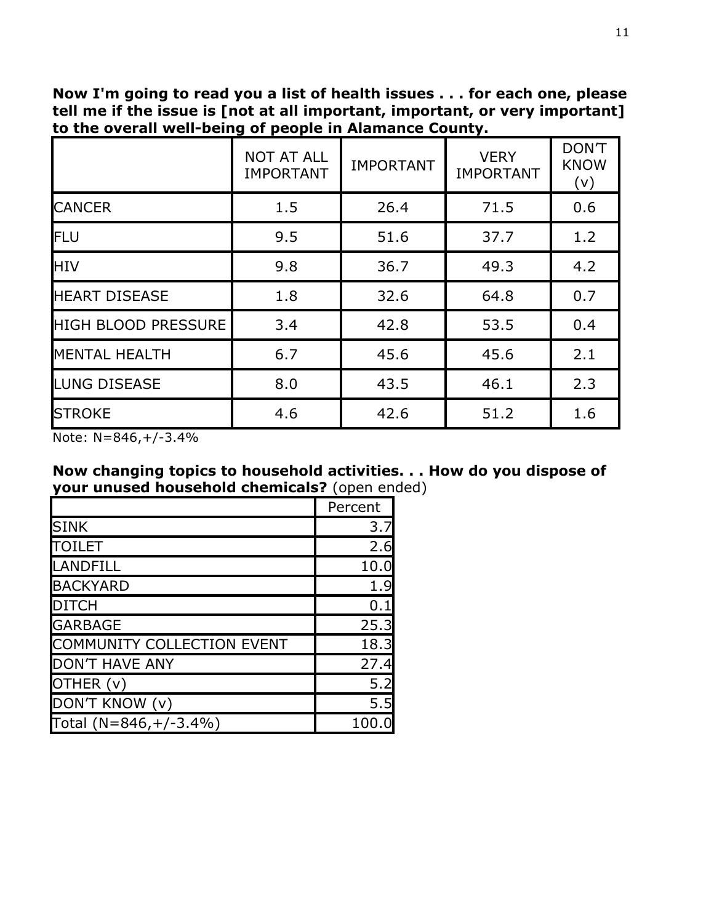**Now I'm going to read you a list of health issues . . . for each one, please tell me if the issue is [not at all important, important, or very important] to the overall well-being of people in Alamance County.** 

|                            | <b>NOT AT ALL</b><br><b>IMPORTANT</b> | <b>IMPORTANT</b> | <b>VERY</b><br><b>IMPORTANT</b> | <b>DON'T</b><br><b>KNOW</b><br>(v) |
|----------------------------|---------------------------------------|------------------|---------------------------------|------------------------------------|
| <b>CANCER</b>              | 1.5                                   | 26.4             | 71.5                            | 0.6                                |
| <b>IFLU</b>                | 9.5                                   | 51.6             | 37.7                            | 1.2                                |
| <b>HIV</b>                 | 9.8                                   | 36.7             | 49.3                            | 4.2                                |
| <b>HEART DISEASE</b>       | 1.8                                   | 32.6             | 64.8                            | 0.7                                |
| <b>HIGH BLOOD PRESSURE</b> | 3.4                                   | 42.8             | 53.5                            | 0.4                                |
| <b>MENTAL HEALTH</b>       | 6.7                                   | 45.6             | 45.6                            | 2.1                                |
| <b>LUNG DISEASE</b>        | 8.0                                   | 43.5             | 46.1                            | 2.3                                |
| <b>STROKE</b>              | 4.6                                   | 42.6             | 51.2                            | 1.6                                |

Note: N=846,+/-3.4%

#### **Now changing topics to household activities. . . How do you dispose of your unused household chemicals?** (open ended)

|                                   | Percent |
|-----------------------------------|---------|
| <b>SINK</b>                       | 3.7     |
| ITOILET                           | 2.6     |
| <b>LANDFILL</b>                   | 10.0    |
| <b>BACKYARD</b>                   | 1.9     |
| <b>DITCH</b>                      | 0.1     |
| <b>GARBAGE</b>                    | 25.3    |
| <b>COMMUNITY COLLECTION EVENT</b> | 18.3    |
| <b>DON'T HAVE ANY</b>             | 27.4    |
| OTHER (v)                         | 5.2     |
| DON'T KNOW (v)                    | 5.5     |
| Total $(N=846,+/-3.4%)$           | 100     |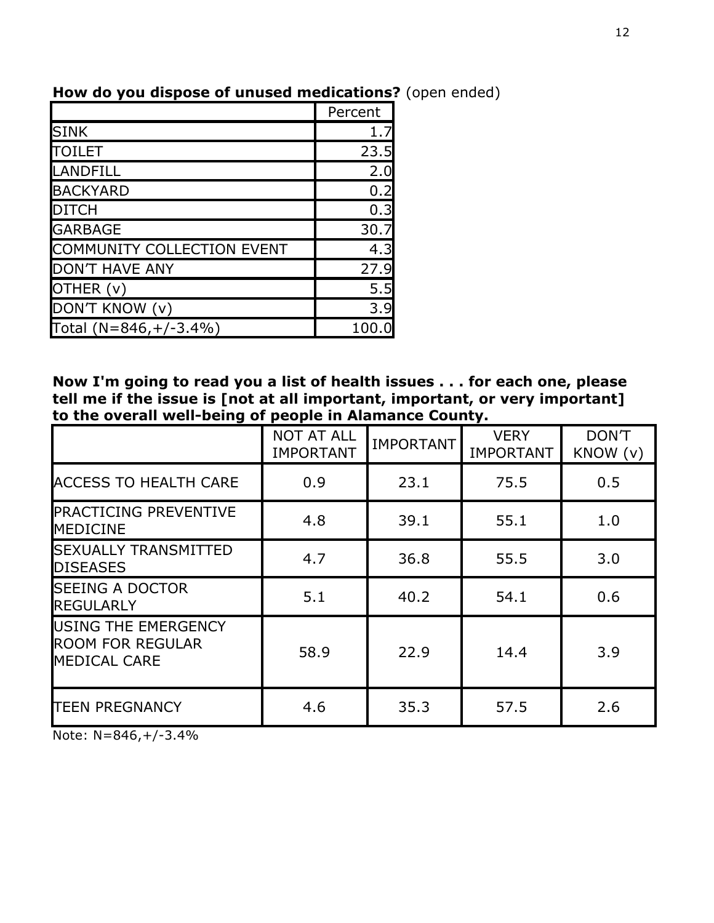|                                   | Percent |
|-----------------------------------|---------|
| <b>SINK</b>                       | 1.7     |
| <b>TOILET</b>                     | 23.5    |
| <b>LANDFILL</b>                   | 2.0     |
| <b>BACKYARD</b>                   | 0.2     |
| <b>DITCH</b>                      | 0.3     |
| <b>GARBAGE</b>                    | 30.7    |
| <b>COMMUNITY COLLECTION EVENT</b> | 4.3     |
| <b>DON'T HAVE ANY</b>             | 27.9    |
| OTHER (v)                         | 5.5     |
| DON'T KNOW (v)                    | 3.9     |
| Total $(N=846,+/-3.4%)$           | 100.    |

## **How do you dispose of unused medications?** (open ended)

**Now I'm going to read you a list of health issues . . . for each one, please tell me if the issue is [not at all important, important, or very important] to the overall well-being of people in Alamance County.** 

|                                                                       | <b>NOT AT ALL</b><br><b>IMPORTANT</b> | <b>IMPORTANT</b> | <b>VERY</b><br><b>IMPORTANT</b> | DON'T<br>KNOW (v) |
|-----------------------------------------------------------------------|---------------------------------------|------------------|---------------------------------|-------------------|
| <b>ACCESS TO HEALTH CARE</b>                                          | 0.9                                   | 23.1             | 75.5                            | 0.5               |
| <b>PRACTICING PREVENTIVE</b><br><b>MEDICINE</b>                       | 4.8                                   | 39.1             | 55.1                            | 1.0               |
| <b>SEXUALLY TRANSMITTED</b><br><b>DISEASES</b>                        | 4.7                                   | 36.8             | 55.5                            | 3.0               |
| <b>SEEING A DOCTOR</b><br><b>REGULARLY</b>                            | 5.1                                   | 40.2             | 54.1                            | 0.6               |
| USING THE EMERGENCY<br><b>ROOM FOR REGULAR</b><br><b>MEDICAL CARE</b> | 58.9                                  | 22.9             | 14.4                            | 3.9               |
| <b>TEEN PREGNANCY</b>                                                 | 4.6                                   | 35.3             | 57.5                            | 2.6               |

Note:  $N=846,+/-3.4%$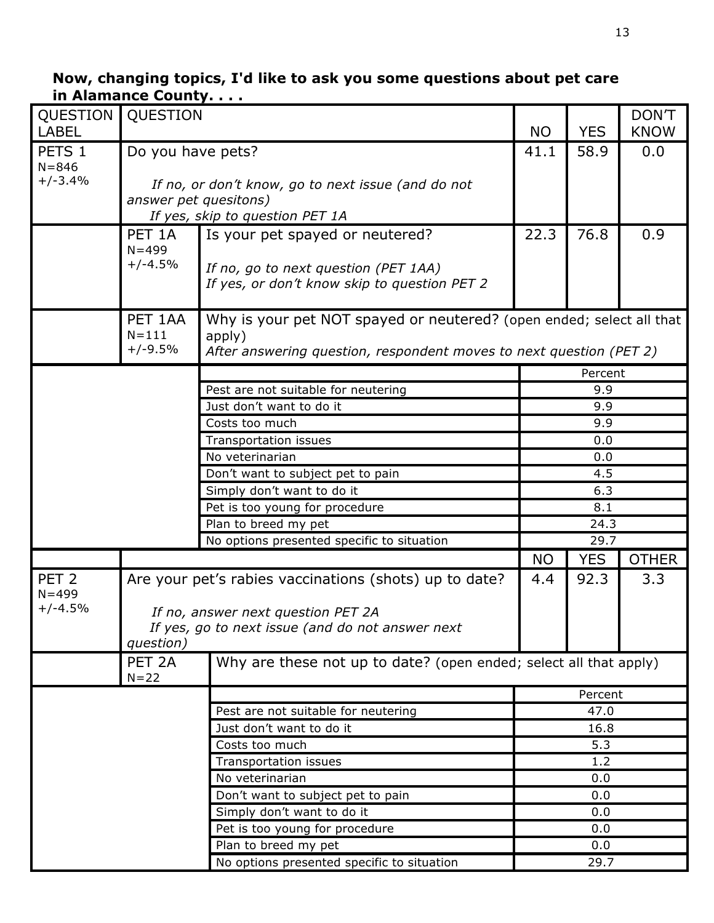#### **Now, changing topics, I'd like to ask you some questions about pet care in Alamance County. . . .**

| QUESTION               | QUESTION                                 |                                                                                        |           |            | <b>DON'T</b> |  |
|------------------------|------------------------------------------|----------------------------------------------------------------------------------------|-----------|------------|--------------|--|
| <b>LABEL</b>           |                                          |                                                                                        | <b>NO</b> | <b>YES</b> | <b>KNOW</b>  |  |
| PETS 1                 | Do you have pets?                        |                                                                                        | 41.1      | 58.9       | 0.0          |  |
| $N = 846$              |                                          |                                                                                        |           |            |              |  |
| $+/-3.4%$              |                                          | If no, or don't know, go to next issue (and do not                                     |           |            |              |  |
|                        | answer pet quesitons)                    |                                                                                        |           |            |              |  |
|                        |                                          | If yes, skip to question PET 1A                                                        |           |            |              |  |
|                        | PET <sub>1A</sub>                        | Is your pet spayed or neutered?                                                        | 22.3      | 76.8       | 0.9          |  |
|                        | $N = 499$                                |                                                                                        |           |            |              |  |
|                        | $+/-4.5%$                                | If no, go to next question (PET 1AA)                                                   |           |            |              |  |
|                        |                                          | If yes, or don't know skip to question PET 2                                           |           |            |              |  |
|                        | PET 1AA                                  | Why is your pet NOT spayed or neutered? (open ended; select all that                   |           |            |              |  |
|                        | $N = 111$                                | apply)                                                                                 |           |            |              |  |
|                        | $+/-9.5%$                                | After answering question, respondent moves to next question (PET 2)                    |           |            |              |  |
|                        |                                          |                                                                                        |           | Percent    |              |  |
|                        |                                          | Pest are not suitable for neutering                                                    |           | 9.9        |              |  |
|                        |                                          | Just don't want to do it                                                               |           | 9.9        |              |  |
|                        |                                          | Costs too much                                                                         |           | 9.9        |              |  |
|                        |                                          | Transportation issues                                                                  |           | 0.0        |              |  |
|                        | No veterinarian                          |                                                                                        |           |            |              |  |
|                        | Don't want to subject pet to pain<br>4.5 |                                                                                        |           |            |              |  |
|                        |                                          | Simply don't want to do it                                                             | 6.3       |            |              |  |
|                        |                                          | Pet is too young for procedure                                                         | 8.1       |            |              |  |
|                        |                                          | Plan to breed my pet                                                                   |           | 24.3       |              |  |
|                        |                                          | No options presented specific to situation                                             |           | 29.7       |              |  |
|                        |                                          |                                                                                        | <b>NO</b> | <b>YES</b> | <b>OTHER</b> |  |
| PET <sub>2</sub>       |                                          | Are your pet's rabies vaccinations (shots) up to date?                                 | 4.4       | 92.3       | 3.3          |  |
| $N = 499$<br>$+/-4.5%$ |                                          |                                                                                        |           |            |              |  |
|                        |                                          | If no, answer next question PET 2A<br>If yes, go to next issue (and do not answer next |           |            |              |  |
|                        | question)                                |                                                                                        |           |            |              |  |
|                        | PET <sub>2A</sub><br>$N = 22$            | Why are these not up to date? (open ended; select all that apply)                      |           |            |              |  |
|                        |                                          |                                                                                        |           | Percent    |              |  |
|                        |                                          | Pest are not suitable for neutering                                                    |           | 47.0       |              |  |
|                        |                                          | Just don't want to do it                                                               |           | 16.8       |              |  |
|                        |                                          | Costs too much                                                                         |           | 5.3        |              |  |
|                        |                                          | Transportation issues                                                                  |           | 1.2        |              |  |
|                        |                                          | No veterinarian                                                                        |           | 0.0        |              |  |
|                        |                                          | Don't want to subject pet to pain                                                      |           | 0.0        |              |  |
|                        |                                          | Simply don't want to do it                                                             |           | 0.0        |              |  |
|                        |                                          | Pet is too young for procedure                                                         |           | 0.0        |              |  |
|                        |                                          | Plan to breed my pet                                                                   |           | 0.0        |              |  |
|                        |                                          | No options presented specific to situation                                             |           | 29.7       |              |  |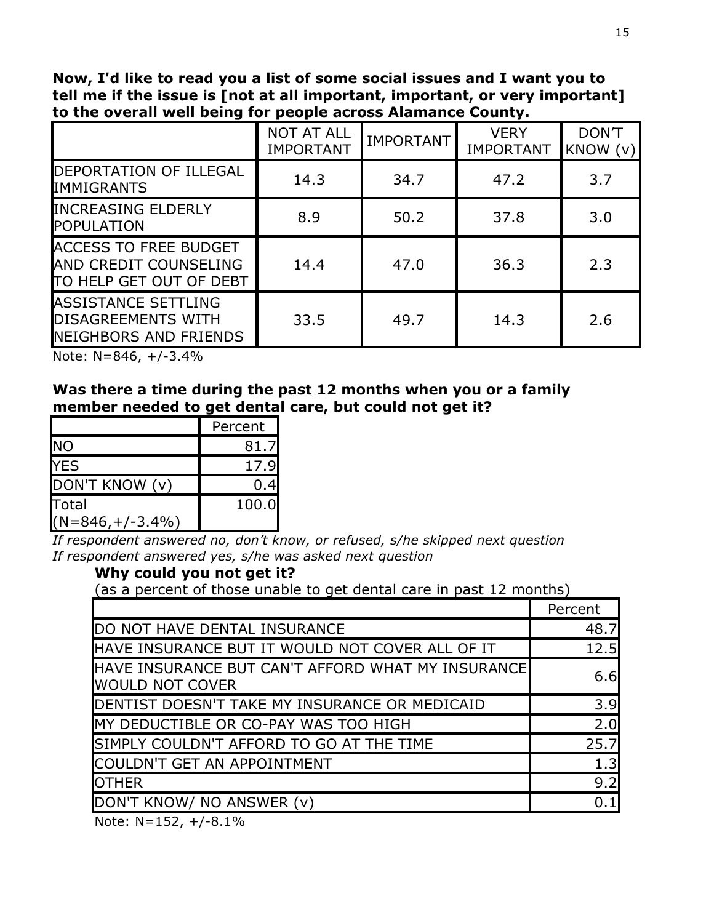**Now, I'd like to read you a list of some social issues and I want you to tell me if the issue is [not at all important, important, or very important] to the overall well being for people across Alamance County.**

|                                                                                         | <b>NOT AT ALL</b><br><b>IMPORTANT</b> | <b>IMPORTANT</b> | <b>VERY</b><br><b>IMPORTANT</b> | DON'T<br>KNOW (v) |
|-----------------------------------------------------------------------------------------|---------------------------------------|------------------|---------------------------------|-------------------|
| DEPORTATION OF ILLEGAL<br><b>IMMIGRANTS</b>                                             | 14.3                                  | 34.7             | 47.2                            | 3.7               |
| <b>INCREASING ELDERLY</b><br><b>POPULATION</b>                                          | 8.9                                   | 50.2             | 37.8                            | 3.0               |
| <b>ACCESS TO FREE BUDGET</b><br>AND CREDIT COUNSELING<br>TO HELP GET OUT OF DEBT        | 14.4                                  | 47.0             | 36.3                            | 2.3               |
| <b>ASSISTANCE SETTLING</b><br><b>DISAGREEMENTS WITH</b><br><b>NEIGHBORS AND FRIENDS</b> | 33.5                                  | 49.7             | 14.3                            | 2.6               |

Note: N=846, +/-3.4%

#### **Was there a time during the past 12 months when you or a family member needed to get dental care, but could not get it?**

|                             | Percent |
|-----------------------------|---------|
| <b>NO</b>                   | 81.7    |
| <b>YES</b>                  | 17.9    |
| DON'T KNOW (v)              | 0.4     |
| Total<br>$(N=846,+/-3.4\%)$ | 100.0   |

*If respondent answered no, don't know, or refused, s/he skipped next question If respondent answered yes, s/he was asked next question*

### **Why could you not get it?**

(as a percent of those unable to get dental care in past 12 months)

|                                                                             | Percent |
|-----------------------------------------------------------------------------|---------|
| DO NOT HAVE DENTAL INSURANCE                                                | 48.7    |
| HAVE INSURANCE BUT IT WOULD NOT COVER ALL OF IT                             | 12.5    |
| HAVE INSURANCE BUT CAN'T AFFORD WHAT MY INSURANCE<br><b>WOULD NOT COVER</b> | 6.6     |
| DENTIST DOESN'T TAKE MY INSURANCE OR MEDICAID                               | 3.9     |
| MY DEDUCTIBLE OR CO-PAY WAS TOO HIGH                                        | 2.0     |
| SIMPLY COULDN'T AFFORD TO GO AT THE TIME                                    | 25.7    |
| COULDN'T GET AN APPOINTMENT                                                 | 1.3     |
| <b>OTHER</b>                                                                | 9.2     |
| DON'T KNOW/ NO ANSWER (v)                                                   | 0.1     |
| $\blacksquare$                                                              |         |

Note:  $N=152$ ,  $+/-8.1\%$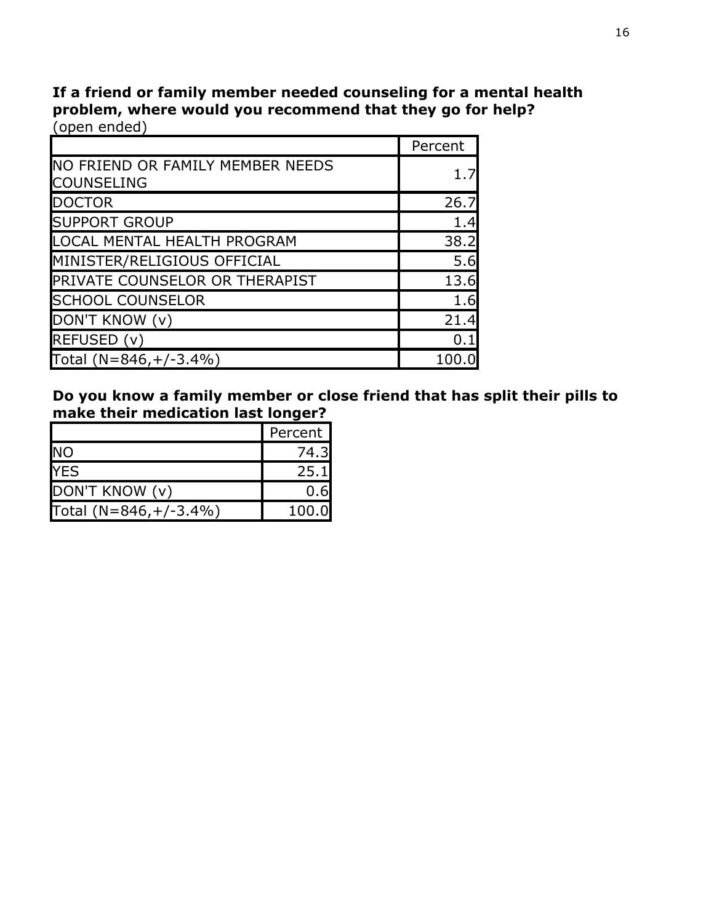**If a friend or family member needed counseling for a mental health problem, where would you recommend that they go for help?** (open ended)

|                                                       | Percent |
|-------------------------------------------------------|---------|
| NO FRIEND OR FAMILY MEMBER NEEDS<br><b>COUNSELING</b> | 1.7     |
| <b>DOCTOR</b>                                         | 26.7    |
| <b>SUPPORT GROUP</b>                                  | 1.4     |
| <b>LOCAL MENTAL HEALTH PROGRAM</b>                    | 38.2    |
| MINISTER/RELIGIOUS OFFICIAL                           | 5.6     |
| PRIVATE COUNSELOR OR THERAPIST                        | 13.6    |
| <b>SCHOOL COUNSELOR</b>                               | 1.6     |
| DON'T KNOW (v)                                        | 21.4    |
| REFUSED (v)                                           | 0.1     |
| Total $(N=846,+/-3.4%)$                               | 100     |

**Do you know a family member or close friend that has split their pills to make their medication last longer?**

|                         | Percent |
|-------------------------|---------|
| <b>NO</b>               | 74.3    |
| <b>YES</b>              | 25.1    |
| DON'T KNOW (v)          | 0.6     |
| Total $(N=846,+/-3.4%)$ | 100.0   |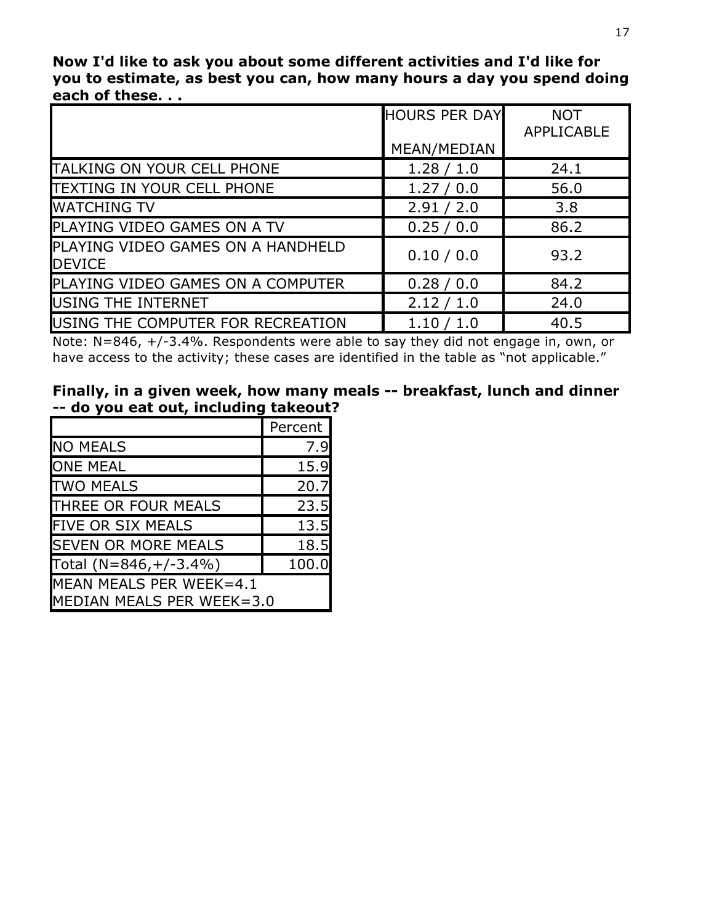**Now I'd like to ask you about some different activities and I'd like for you to estimate, as best you can, how many hours a day you spend doing each of these. . .**

|                                                    | <b>HOURS PER DAY</b> | <b>NOT</b><br><b>APPLICABLE</b> |
|----------------------------------------------------|----------------------|---------------------------------|
|                                                    | MEAN/MEDIAN          |                                 |
| <b>TALKING ON YOUR CELL PHONE</b>                  | 1.28 / 1.0           | 24.1                            |
| TEXTING IN YOUR CELL PHONE                         | 1.27 / 0.0           | 56.0                            |
| <b>WATCHING TV</b>                                 | 2.91 / 2.0           | 3.8                             |
| PLAYING VIDEO GAMES ON A TV                        | 0.25 / 0.0           | 86.2                            |
| PLAYING VIDEO GAMES ON A HANDHELD<br><b>DEVICE</b> | 0.10 / 0.0           | 93.2                            |
| PLAYING VIDEO GAMES ON A COMPUTER                  | 0.28 / 0.0           | 84.2                            |
| USING THE INTERNET                                 | 2.12 / 1.0           | 24.0                            |
| USING THE COMPUTER FOR RECREATION                  | 1.10 / 1.0           | 40.5                            |

Note: N=846, +/-3.4%. Respondents were able to say they did not engage in, own, or have access to the activity; these cases are identified in the table as "not applicable."

|  |                                       |  |  | Finally, in a given week, how many meals -- breakfast, lunch and dinner |  |
|--|---------------------------------------|--|--|-------------------------------------------------------------------------|--|
|  | -- do you eat out, including takeout? |  |  |                                                                         |  |

|                                                      | Percent |
|------------------------------------------------------|---------|
| <b>NO MEALS</b>                                      | 7.9     |
| <b>ONE MEAL</b>                                      | 15.9    |
| <b>TWO MEALS</b>                                     | 20.7    |
| THREE OR FOUR MEALS                                  | 23.5    |
| <b>FIVE OR SIX MEALS</b>                             | 13.5    |
| <b>SEVEN OR MORE MEALS</b>                           | 18.5    |
| Total $(N=846,+/-3.4%)$                              | 100.0   |
| MEAN MEALS PER WEEK=4.1<br>MEDIAN MEALS PER WEEK=3.0 |         |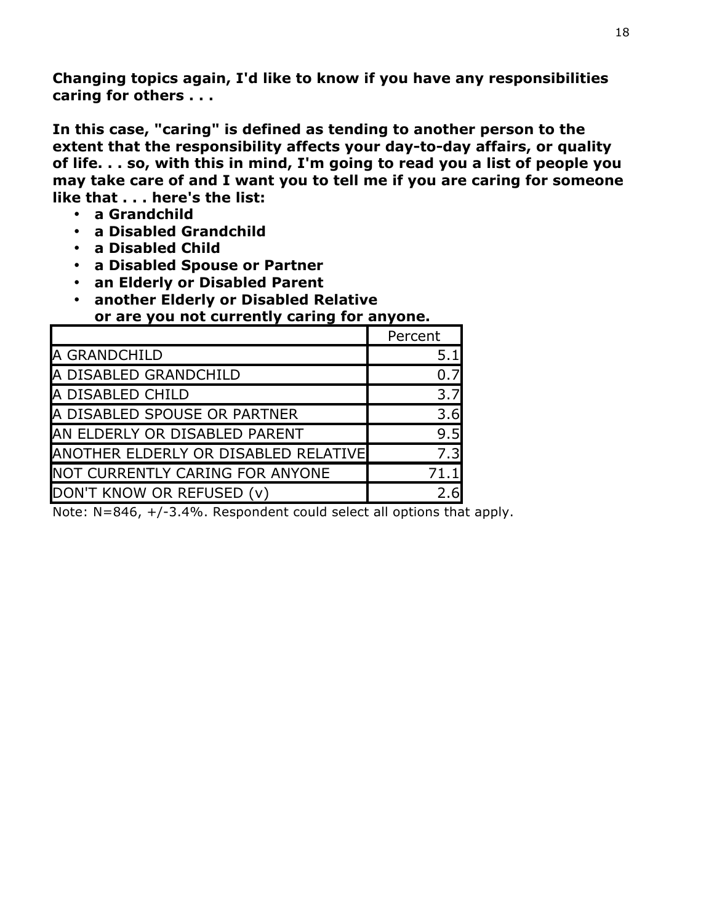**Changing topics again, I'd like to know if you have any responsibilities caring for others . . .** 

**In this case, "caring" is defined as tending to another person to the extent that the responsibility affects your day-to-day affairs, or quality of life. . . so, with this in mind, I'm going to read you a list of people you may take care of and I want you to tell me if you are caring for someone like that . . . here's the list:**

- **a Grandchild**
- **a Disabled Grandchild**
- **a Disabled Child**
- **a Disabled Spouse or Partner**
- **an Elderly or Disabled Parent**
- **another Elderly or Disabled Relative**

**or are you not currently caring for anyone.** 

|                                      | Percent |
|--------------------------------------|---------|
| A GRANDCHILD                         | 5.1     |
| A DISABLED GRANDCHILD                |         |
| A DISABLED CHILD                     | 3.7     |
| A DISABLED SPOUSE OR PARTNER         | 3.6     |
| AN ELDERLY OR DISABLED PARENT        | 9.5     |
| ANOTHER ELDERLY OR DISABLED RELATIVE | 7.3     |
| NOT CURRENTLY CARING FOR ANYONE      |         |
| DON'T KNOW OR REFUSED (v)            |         |

Note: N=846, +/-3.4%. Respondent could select all options that apply.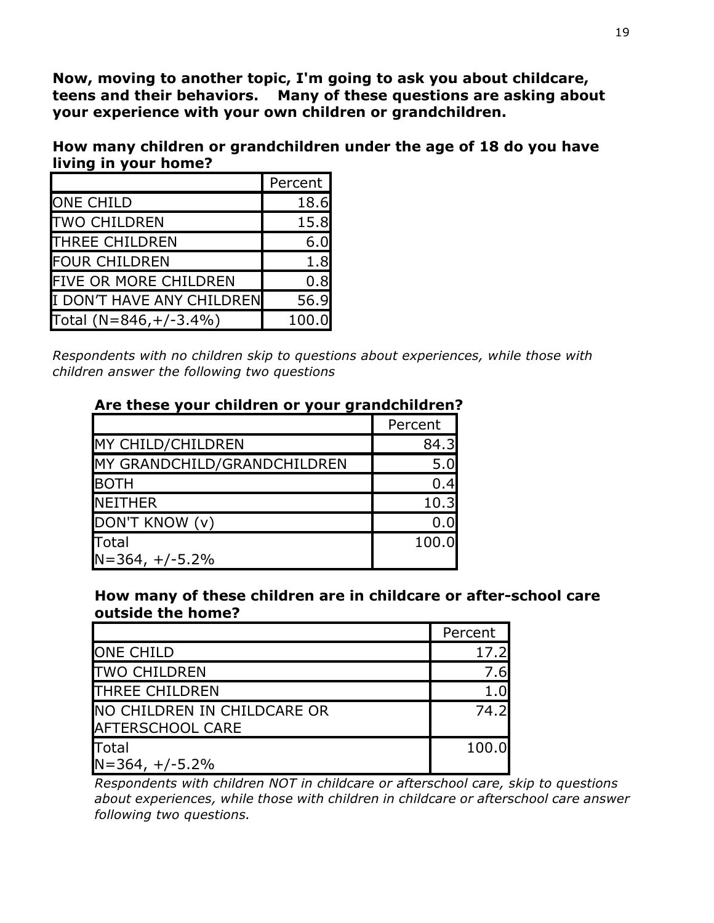**Now, moving to another topic, I'm going to ask you about childcare, teens and their behaviors. Many of these questions are asking about your experience with your own children or grandchildren.** 

**How many children or grandchildren under the age of 18 do you have living in your home?**

|                              | Percent |
|------------------------------|---------|
| <b>ONE CHILD</b>             | 18.6    |
| <b>TWO CHILDREN</b>          | 15.8    |
| <b>THREE CHILDREN</b>        | 6.0     |
| <b>FOUR CHILDREN</b>         | 1.8     |
| <b>FIVE OR MORE CHILDREN</b> | 0.8     |
| I DON'T HAVE ANY CHILDREN    | 56.9    |
| Total $(N=846,+/-3.4%)$      | 100.0   |

*Respondents with no children skip to questions about experiences, while those with children answer the following two questions*

|                             | Percent |
|-----------------------------|---------|
| MY CHILD/CHILDREN           | 84.3    |
| MY GRANDCHILD/GRANDCHILDREN | 5.0     |
| <b>BOTH</b>                 | 0.4     |
| <b>NEITHER</b>              | 10.3    |
| DON'T KNOW (v)              | 0.0     |
| <b>Total</b>                | 100.0   |
| $N = 364, +/-5.2%$          |         |

#### **Are these your children or your grandchildren?**

#### **How many of these children are in childcare or after-school care outside the home?**

|                                                        | Percent |
|--------------------------------------------------------|---------|
| <b>ONE CHILD</b>                                       | 17.2    |
| <b>TWO CHILDREN</b>                                    | 7.6     |
| <b>THREE CHILDREN</b>                                  | 1.0     |
| NO CHILDREN IN CHILDCARE OR<br><b>AFTERSCHOOL CARE</b> | 74.2    |
| Total<br>$N = 364, +/-5.2%$                            | 100.0   |

*Respondents with children NOT in childcare or afterschool care, skip to questions about experiences, while those with children in childcare or afterschool care answer following two questions.*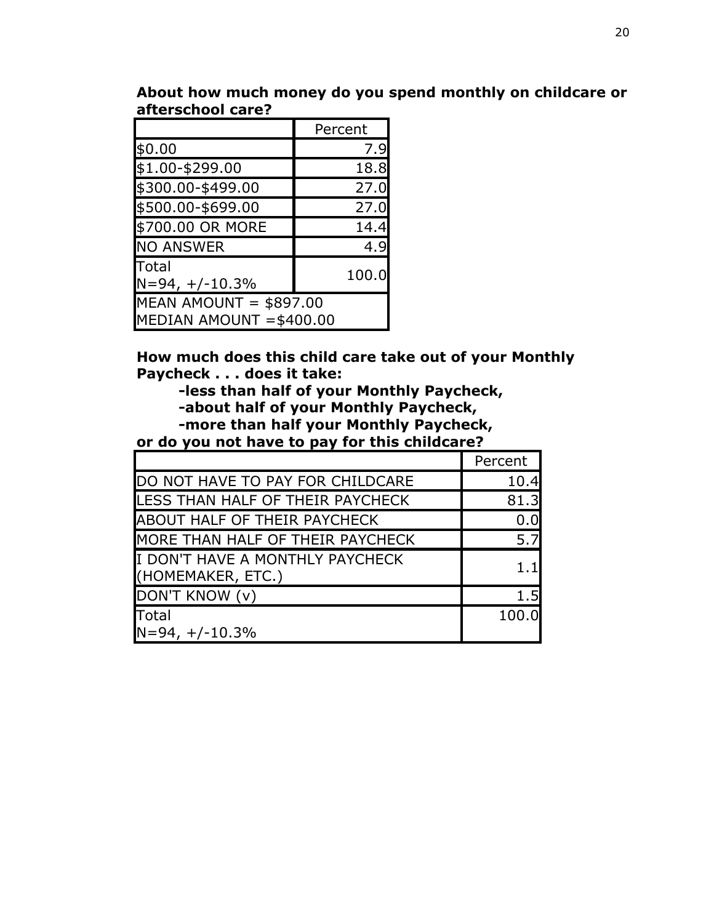|                                                     | Percent |  |
|-----------------------------------------------------|---------|--|
| \$0.00                                              | 7.9     |  |
| \$1.00-\$299.00                                     | 18.8    |  |
| \$300.00-\$499.00                                   | 27.0    |  |
| \$500.00-\$699.00                                   | 27.0    |  |
| \$700.00 OR MORE                                    | 14.4    |  |
| <b>NO ANSWER</b>                                    | 4.9     |  |
| Total<br>$N=94, +/-10.3%$                           | 100.0   |  |
| MEAN AMOUNT = $$897.00$<br>MEDIAN AMOUNT = \$400.00 |         |  |

**About how much money do you spend monthly on childcare or afterschool care?**

**How much does this child care take out of your Monthly Paycheck . . . does it take:**

**-less than half of your Monthly Paycheck, -about half of your Monthly Paycheck,** 

**-more than half your Monthly Paycheck,** 

# **or do you not have to pay for this childcare?**

|                                                      | Percent |
|------------------------------------------------------|---------|
| DO NOT HAVE TO PAY FOR CHILDCARE                     | 10.4    |
| LESS THAN HALF OF THEIR PAYCHECK                     | 81.3    |
| ABOUT HALF OF THEIR PAYCHECK                         | 0.0     |
| MORE THAN HALF OF THEIR PAYCHECK                     | 5.7     |
| I DON'T HAVE A MONTHLY PAYCHECK<br>(HOMEMAKER, ETC.) | 1 1 1   |
| DON'T KNOW (v)                                       | 1.5     |
| Total<br>$N=94, +/-10.3%$                            | 100.0   |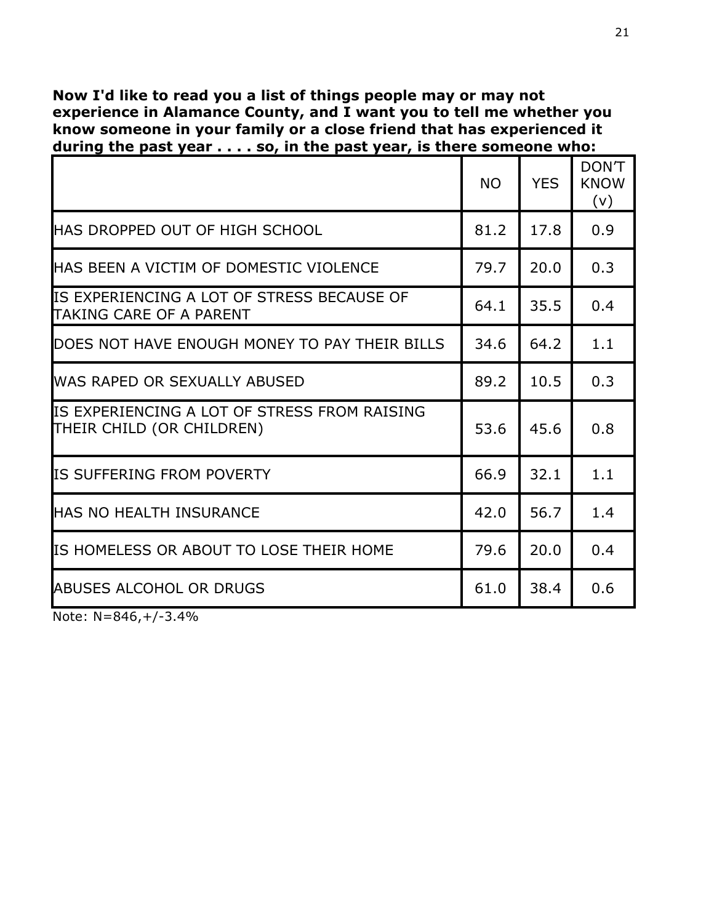#### **Now I'd like to read you a list of things people may or may not experience in Alamance County, and I want you to tell me whether you know someone in your family or a close friend that has experienced it during the past year . . . . so, in the past year, is there someone who:**

|                                                                           | <b>NO</b> | <b>YES</b> | DON'T<br><b>KNOW</b><br>(v) |
|---------------------------------------------------------------------------|-----------|------------|-----------------------------|
| <b>HAS DROPPED OUT OF HIGH SCHOOL</b>                                     | 81.2      | 17.8       | 0.9                         |
| <b>HAS BEEN A VICTIM OF DOMESTIC VIOLENCE</b>                             | 79.7      | 20.0       | 0.3                         |
| IS EXPERIENCING A LOT OF STRESS BECAUSE OF<br>TAKING CARE OF A PARENT     | 64.1      | 35.5       | 0.4                         |
| DOES NOT HAVE ENOUGH MONEY TO PAY THEIR BILLS                             | 34.6      | 64.2       | 1.1                         |
| <b>WAS RAPED OR SEXUALLY ABUSED</b>                                       | 89.2      | 10.5       | 0.3                         |
| IS EXPERIENCING A LOT OF STRESS FROM RAISING<br>THEIR CHILD (OR CHILDREN) | 53.6      | 45.6       | 0.8                         |
| IS SUFFERING FROM POVERTY                                                 | 66.9      | 32.1       | 1.1                         |
| <b>HAS NO HEALTH INSURANCE</b>                                            | 42.0      | 56.7       | 1.4                         |
| IS HOMELESS OR ABOUT TO LOSE THEIR HOME                                   | 79.6      | 20.0       | 0.4                         |
| <b>ABUSES ALCOHOL OR DRUGS</b>                                            | 61.0      | 38.4       | 0.6                         |

Note: N=846,+/-3.4%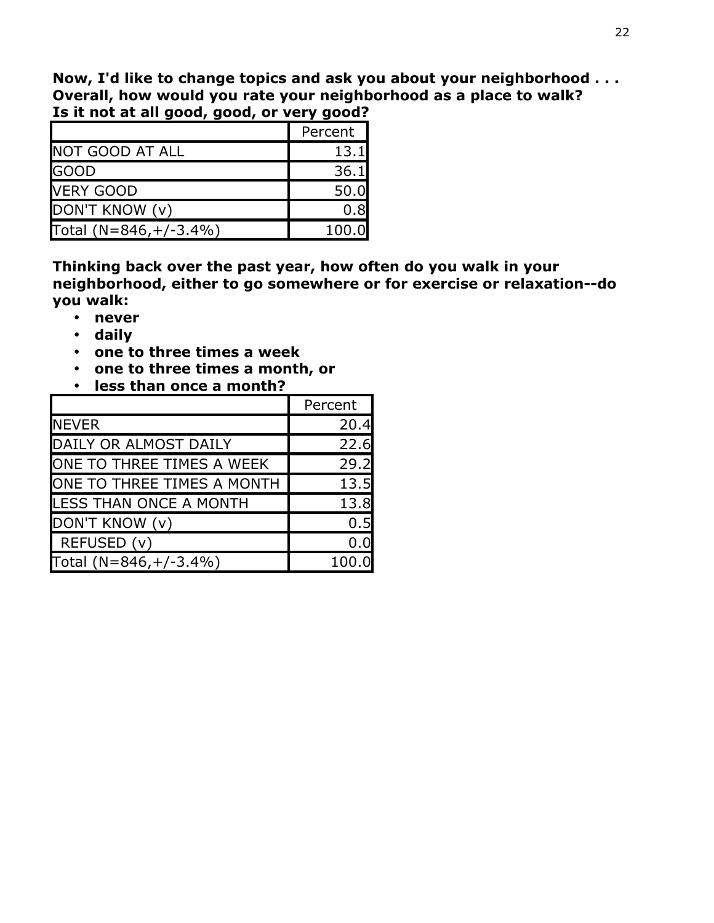**Now, I'd like to change topics and ask you about your neighborhood . . . Overall, how would you rate your neighborhood as a place to walk? Is it not at all good, good, or very good?** 

|                         | Percent |
|-------------------------|---------|
| <b>NOT GOOD AT ALL</b>  | 13.1    |
| <b>GOOD</b>             | 36.1    |
| <b>VERY GOOD</b>        | 50.0    |
| DON'T KNOW (v)          | 0.8     |
| Total $(N=846,+/-3.4%)$ | 100.0   |

**Thinking back over the past year, how often do you walk in your neighborhood, either to go somewhere or for exercise or relaxation--do you walk:**

- **never**
- **daily**
- **one to three times a week**
- **one to three times a month, or**
- **less than once a month?**

|                            | Percent |
|----------------------------|---------|
| <b>NEVER</b>               | 20.4    |
| DAILY OR ALMOST DAILY      | 22.6    |
| ONE TO THREE TIMES A WEEK  | 29.2    |
| ONE TO THREE TIMES A MONTH | 13.5    |
| LESS THAN ONCE A MONTH     | 13.8    |
| DON'T KNOW (v)             | 0.5     |
| REFUSED (v)                | 0.0     |
| Total $(N=846,+/-3.4%)$    | 100     |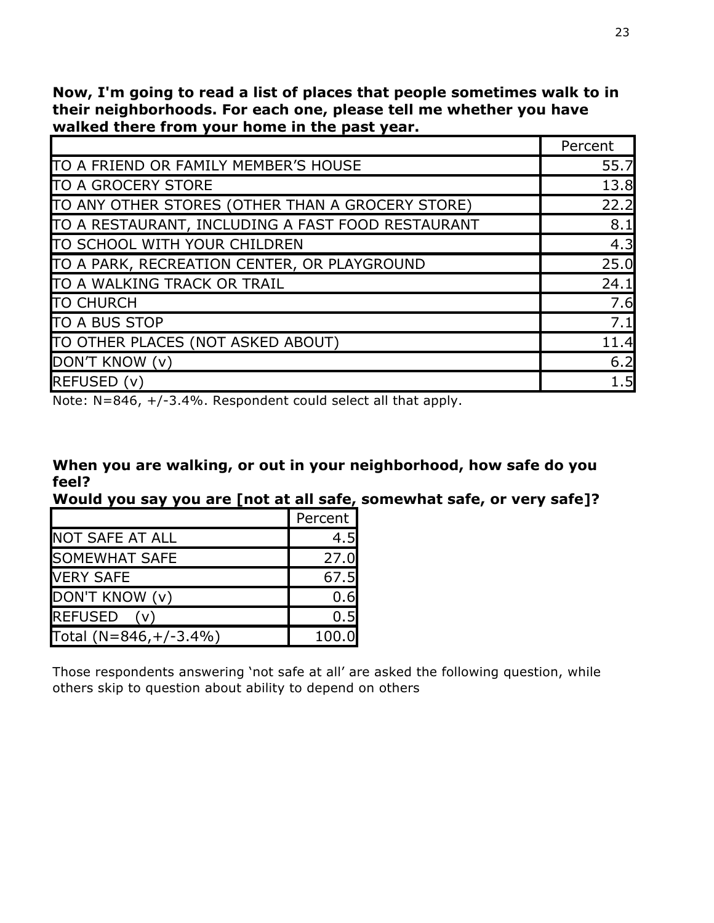**Now, I'm going to read a list of places that people sometimes walk to in their neighborhoods. For each one, please tell me whether you have walked there from your home in the past year.** 

|                                                   | Percent |
|---------------------------------------------------|---------|
| TO A FRIEND OR FAMILY MEMBER'S HOUSE              | 55.7    |
| <b>TO A GROCERY STORE</b>                         | 13.8    |
| TO ANY OTHER STORES (OTHER THAN A GROCERY STORE)  | 22.2    |
| TO A RESTAURANT, INCLUDING A FAST FOOD RESTAURANT | 8.1     |
| TO SCHOOL WITH YOUR CHILDREN                      | 4.3     |
| TO A PARK, RECREATION CENTER, OR PLAYGROUND       | 25.0    |
| TO A WALKING TRACK OR TRAIL                       | 24.1    |
| <b>TO CHURCH</b>                                  | 7.6     |
| <b>TO A BUS STOP</b>                              | 7.1     |
| TO OTHER PLACES (NOT ASKED ABOUT)                 | 11.4    |
| DON'T KNOW (v)                                    | 6.2     |
| REFUSED (v)                                       | 1.5     |

Note: N=846, +/-3.4%. Respondent could select all that apply.

|       |  | When you are walking, or out in your neighborhood, how safe do you |
|-------|--|--------------------------------------------------------------------|
| feel? |  |                                                                    |

**Would you say you are [not at all safe, somewhat safe, or very safe]?**

|                         | Percent |
|-------------------------|---------|
| <b>NOT SAFE AT ALL</b>  | 4.5     |
| <b>SOMEWHAT SAFE</b>    | 27.0    |
| <b>VERY SAFE</b>        | 67.5    |
| DON'T KNOW (v)          | 0.6     |
| <b>REFUSED</b><br>(v)   | 0.5     |
| Total $(N=846,+/-3.4%)$ | 100.0   |

Those respondents answering 'not safe at all' are asked the following question, while others skip to question about ability to depend on others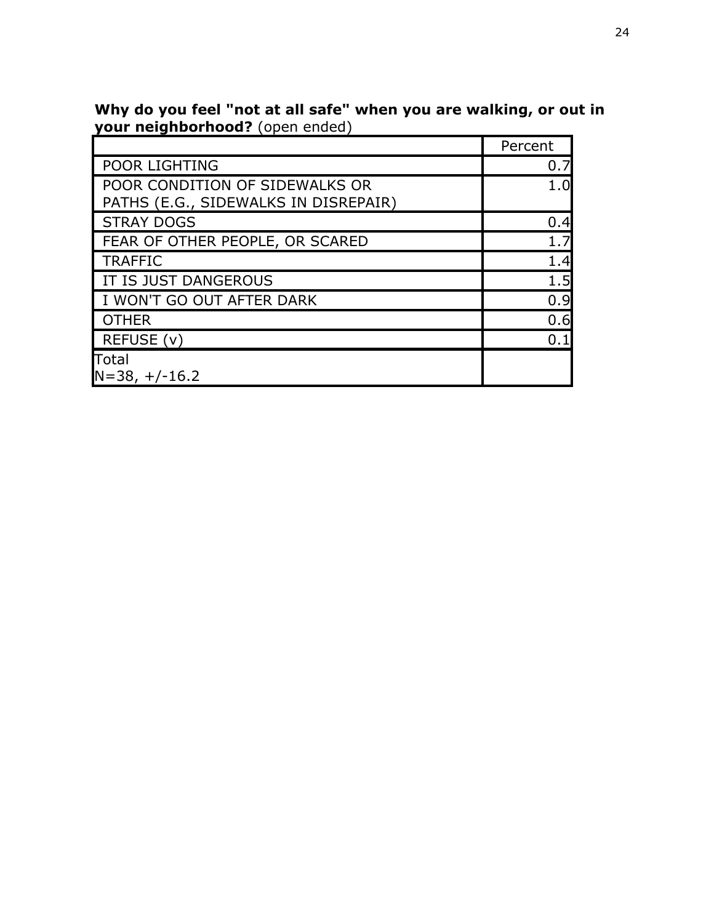|                                                                        | Percent |
|------------------------------------------------------------------------|---------|
| POOR LIGHTING                                                          | 0.7     |
| POOR CONDITION OF SIDEWALKS OR<br>PATHS (E.G., SIDEWALKS IN DISREPAIR) | $1.0\,$ |
| <b>STRAY DOGS</b>                                                      | 0.4     |
| FEAR OF OTHER PEOPLE, OR SCARED                                        | 1.7     |
| <b>TRAFFIC</b>                                                         | 1.4     |
| IT IS JUST DANGEROUS                                                   | 1.5     |
| I WON'T GO OUT AFTER DARK                                              | 0.9     |
| <b>OTHER</b>                                                           | 0.6     |
| REFUSE (v)                                                             | 0.1     |
| Total<br>$N = 38, +/-16.2$                                             |         |

**Why do you feel "not at all safe" when you are walking, or out in your neighborhood?** (open ended)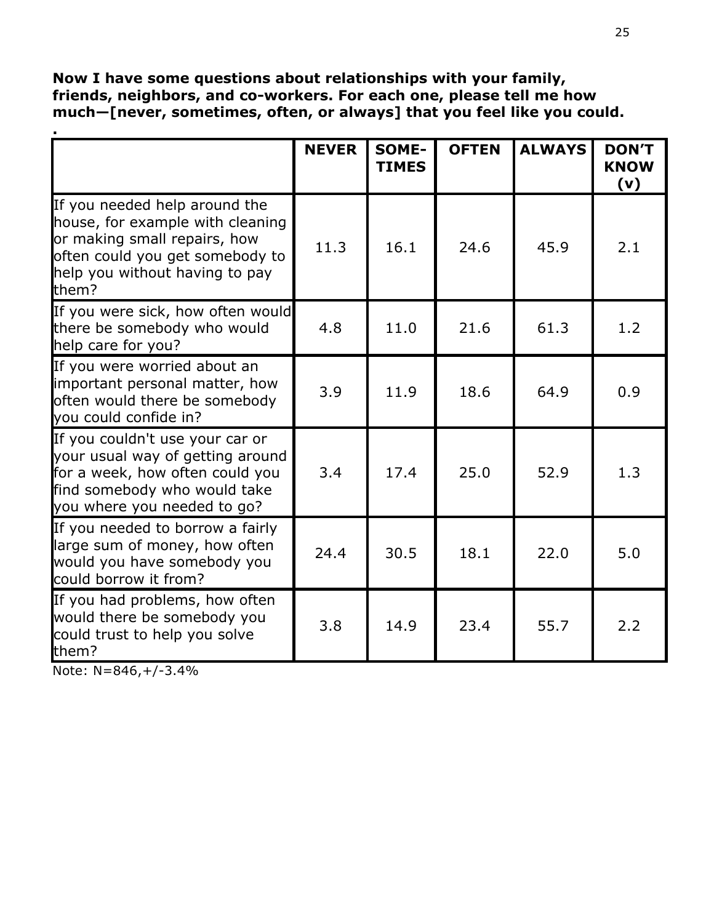#### **Now I have some questions about relationships with your family, friends, neighbors, and co-workers. For each one, please tell me how much—[never, sometimes, often, or always] that you feel like you could.**

|                                                                                                                                                                                 | <b>NEVER</b> | <b>SOME-</b><br><b>TIMES</b> | <b>OFTEN</b> | <b>ALWAYS</b> | <b>DON'T</b><br><b>KNOW</b><br>(v) |
|---------------------------------------------------------------------------------------------------------------------------------------------------------------------------------|--------------|------------------------------|--------------|---------------|------------------------------------|
| If you needed help around the<br>house, for example with cleaning<br>or making small repairs, how<br>often could you get somebody to<br>help you without having to pay<br>them? | 11.3         | 16.1                         | 24.6         | 45.9          | 2.1                                |
| If you were sick, how often would<br>there be somebody who would<br>help care for you?                                                                                          | 4.8          | 11.0                         | 21.6         | 61.3          | 1.2                                |
| If you were worried about an<br>important personal matter, how<br>often would there be somebody<br>you could confide in?                                                        | 3.9          | 11.9                         | 18.6         | 64.9          | 0.9                                |
| If you couldn't use your car or<br>your usual way of getting around<br>for a week, how often could you<br>find somebody who would take<br>you where you needed to go?           | 3.4          | 17.4                         | 25.0         | 52.9          | 1.3                                |
| If you needed to borrow a fairly<br>large sum of money, how often<br>would you have somebody you<br>could borrow it from?                                                       | 24.4         | 30.5                         | 18.1         | 22.0          | 5.0                                |
| If you had problems, how often<br>would there be somebody you<br>could trust to help you solve<br>them?                                                                         | 3.8          | 14.9                         | 23.4         | 55.7          | 2.2                                |

Note: N=846,+/-3.4%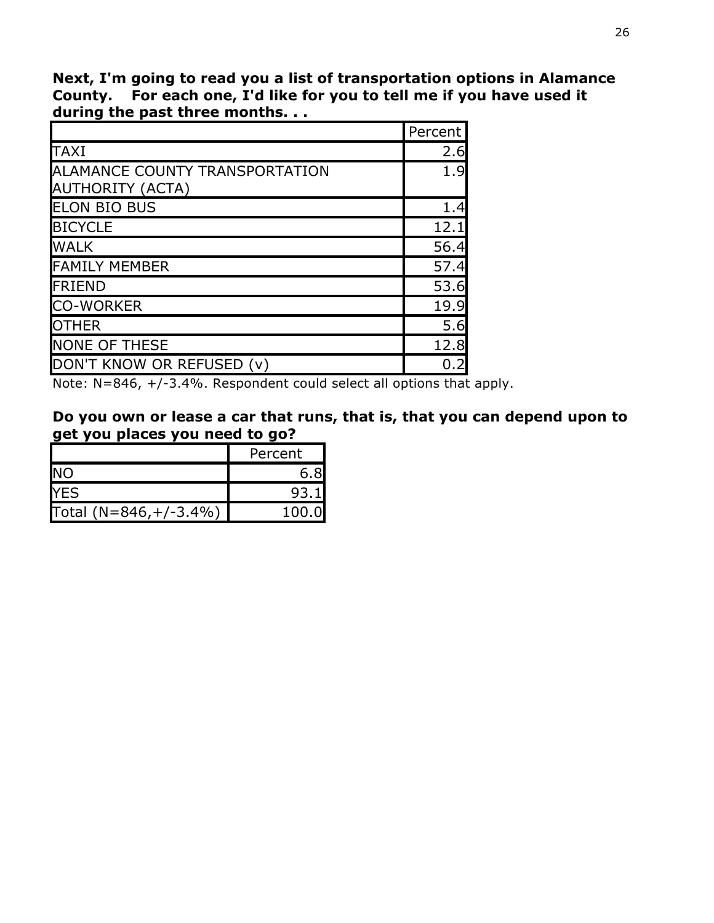**Next, I'm going to read you a list of transportation options in Alamance County. For each one, I'd like for you to tell me if you have used it during the past three months. . .**

|                                                           | Percent |
|-----------------------------------------------------------|---------|
| <b>TAXI</b>                                               | 2.6     |
| ALAMANCE COUNTY TRANSPORTATION<br><b>AUTHORITY (ACTA)</b> | 1.9     |
| <b>ELON BIO BUS</b>                                       | 1.4     |
| <b>BICYCLE</b>                                            | 12.1    |
| <b>WALK</b>                                               | 56.4    |
| <b>FAMILY MEMBER</b>                                      | 57.4    |
| <b>IFRIEND</b>                                            | 53.6    |
| <b>CO-WORKER</b>                                          | 19.9    |
| <b>OTHER</b>                                              | 5.6     |
| <b>NONE OF THESE</b>                                      | 12.8    |
| DON'T KNOW OR REFUSED (v)                                 |         |

Note: N=846, +/-3.4%. Respondent could select all options that apply.

| Do you own or lease a car that runs, that is, that you can depend upon to |  |  |
|---------------------------------------------------------------------------|--|--|
| get you places you need to go?                                            |  |  |

|                         | Percent |
|-------------------------|---------|
| <b>NO</b>               |         |
| <b>IYES</b>             | 93.1    |
| Total $(N=846,+/-3.4%)$ | 100 O   |